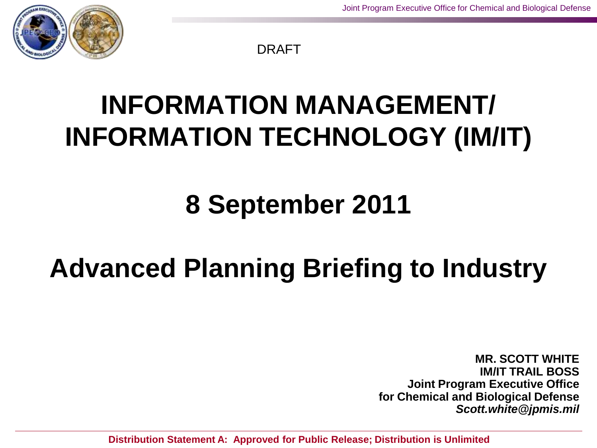

DRAFT

### **INFORMATION MANAGEMENT/ INFORMATION TECHNOLOGY (IM/IT)**

### **8 September 2011**

### **Advanced Planning Briefing to Industry**

**MR. SCOTT WHITE IM/IT TRAIL BOSS Joint Program Executive Office for Chemical and Biological Defense** *Scott.white@jpmis.mil*

**Distribution Statement A: Approved for Public Release; Distribution is Unlimited**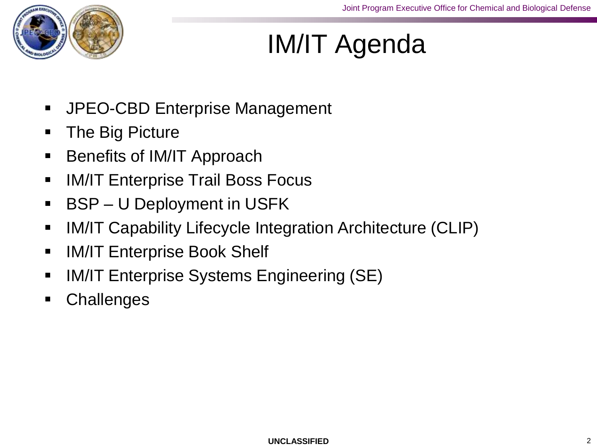

### IM/IT Agenda

- **JPEO-CBD Enterprise Management**
- **The Big Picture**
- **Benefits of IM/IT Approach**
- **IM/IT Enterprise Trail Boss Focus**
- BSP U Deployment in USFK
- IM/IT Capability Lifecycle Integration Architecture (CLIP)
- **IM/IT Enterprise Book Shelf**
- **IM/IT Enterprise Systems Engineering (SE)**
- **Challenges**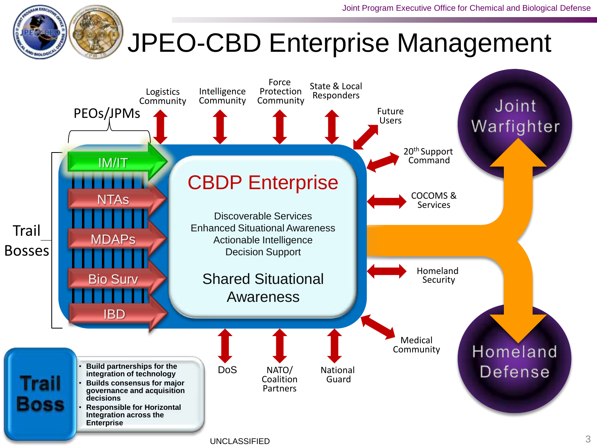### JPEO-CBD Enterprise Management

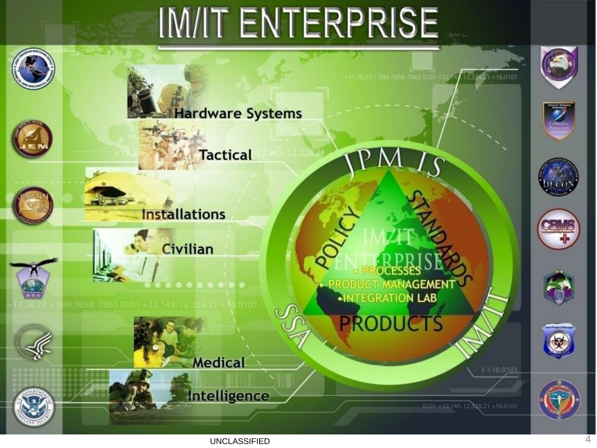# IM/IT ENTERPRISE

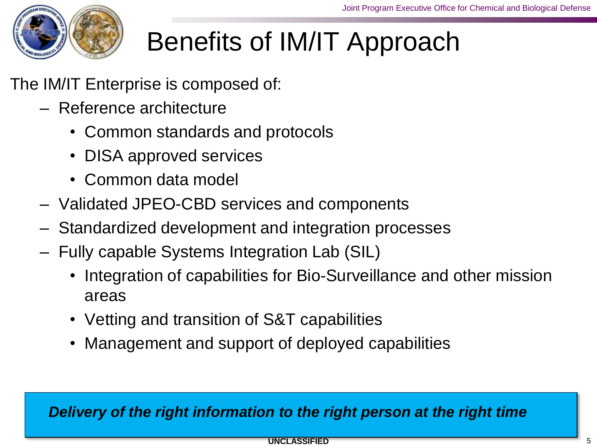

### Benefits of IM/IT Approach

The IM/IT Enterprise is composed of:

- Reference architecture
	- Common standards and protocols
	- DISA approved services
	- Common data model
- Validated JPEO-CBD services and components
- Standardized development and integration processes
- Fully capable Systems Integration Lab (SIL)
	- Integration of capabilities for Bio-Surveillance and other mission areas
	- Vetting and transition of S&T capabilities
	- Management and support of deployed capabilities

#### *Delivery of the right information to the right person at the right time*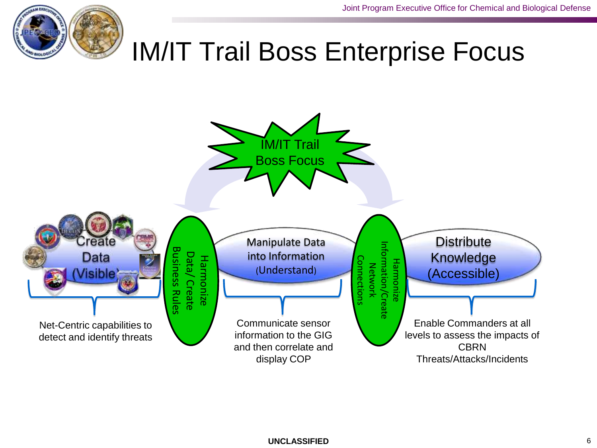

### IM/IT Trail Boss Enterprise Focus

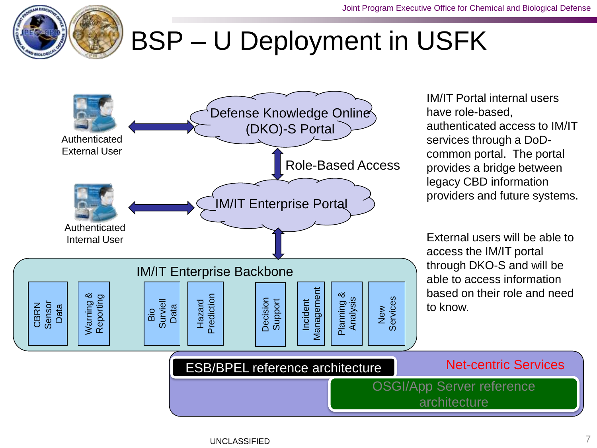

### BSP – U Deployment in USFK

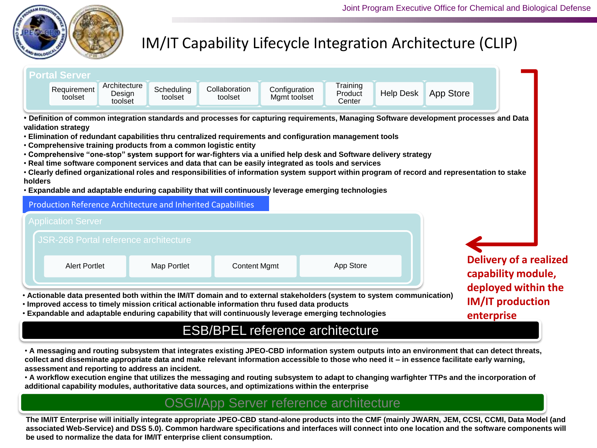#### IM/IT Capability Lifecycle Integration Architecture (CLIP)



• **A messaging and routing subsystem that integrates existing JPEO-CBD information system outputs into an environment that can detect threats, collect and disseminate appropriate data and make relevant information accessible to those who need it – in essence facilitate early warning, assessment and reporting to address an incident.** 

• **A workflow execution engine that utilizes the messaging and routing subsystem to adapt to changing warfighter TTPs and the incorporation of additional capability modules, authoritative data sources, and optimizations within the enterprise**

#### OSGI/App Server reference architecture

**The IM/IT Enterprise will initially integrate appropriate JPEO-CBD stand-alone products into the CMF (mainly JWARN, JEM, CCSI, CCMI, Data Model (and associated Web-Service) and DSS 5.0). Common hardware specifications and interfaces will connect into one location and the software components will be used to normalize the data for IM/IT enterprise client consumption.**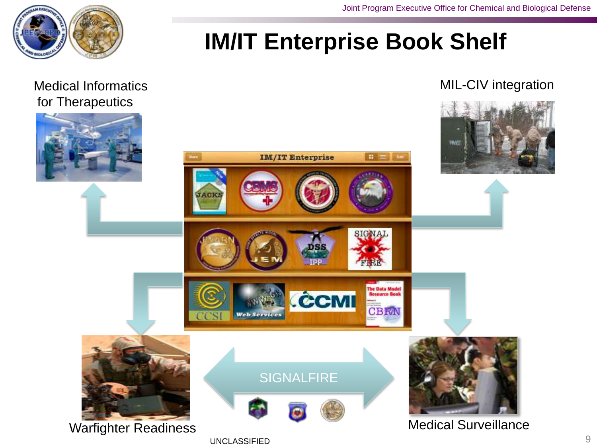![](_page_8_Picture_1.jpeg)

### **IM/IT Enterprise Book Shelf**

### for Therapeutics

#### Medical Informatics **MIL-CIV** integration

![](_page_8_Picture_5.jpeg)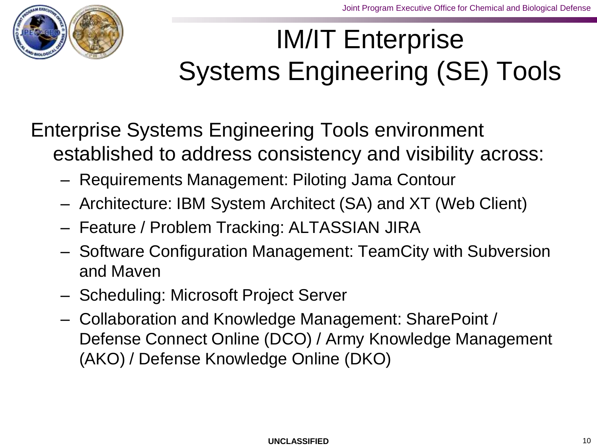![](_page_9_Picture_1.jpeg)

### IM/IT Enterprise Systems Engineering (SE) Tools

### Enterprise Systems Engineering Tools environment established to address consistency and visibility across:

- Requirements Management: Piloting Jama Contour
- Architecture: IBM System Architect (SA) and XT (Web Client)
- Feature / Problem Tracking: ALTASSIAN JIRA
- Software Configuration Management: TeamCity with Subversion and Maven
- Scheduling: Microsoft Project Server
- Collaboration and Knowledge Management: SharePoint / Defense Connect Online (DCO) / Army Knowledge Management (AKO) / Defense Knowledge Online (DKO)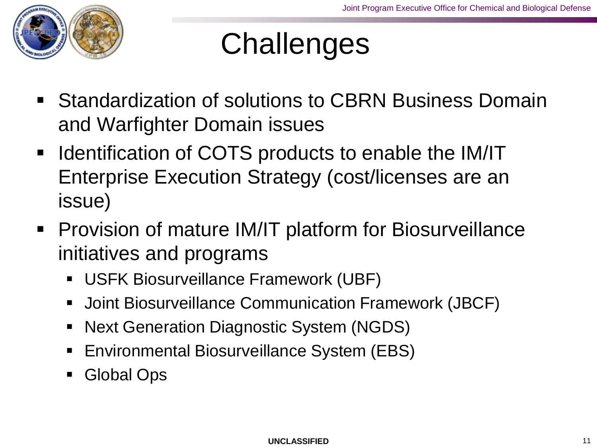![](_page_10_Picture_1.jpeg)

## **Challenges**

- Standardization of solutions to CBRN Business Domain and Warfighter Domain issues
- Identification of COTS products to enable the IM/IT Enterprise Execution Strategy (cost/licenses are an issue)
- **Provision of mature IM/IT platform for Biosurveillance** initiatives and programs
	- USFK Biosurveillance Framework (UBF)
	- Joint Biosurveillance Communication Framework (JBCF)
	- Next Generation Diagnostic System (NGDS)
	- **Environmental Biosurveillance System (EBS)**
	- **Global Ops**